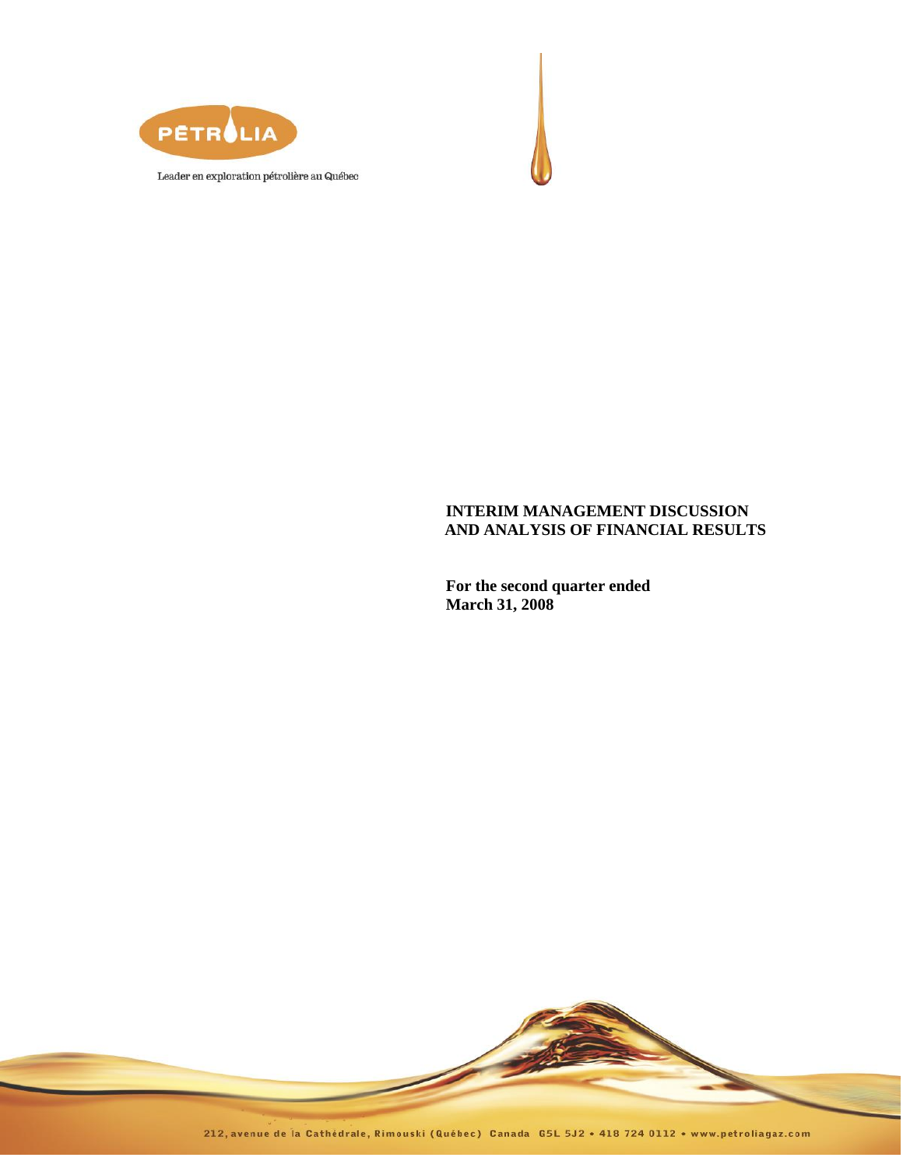



# **INTERIM MANAGEMENT DISCUSSION AND ANALYSIS OF FINANCIAL RESULTS**

**For the second quarter ended March 31, 2008**

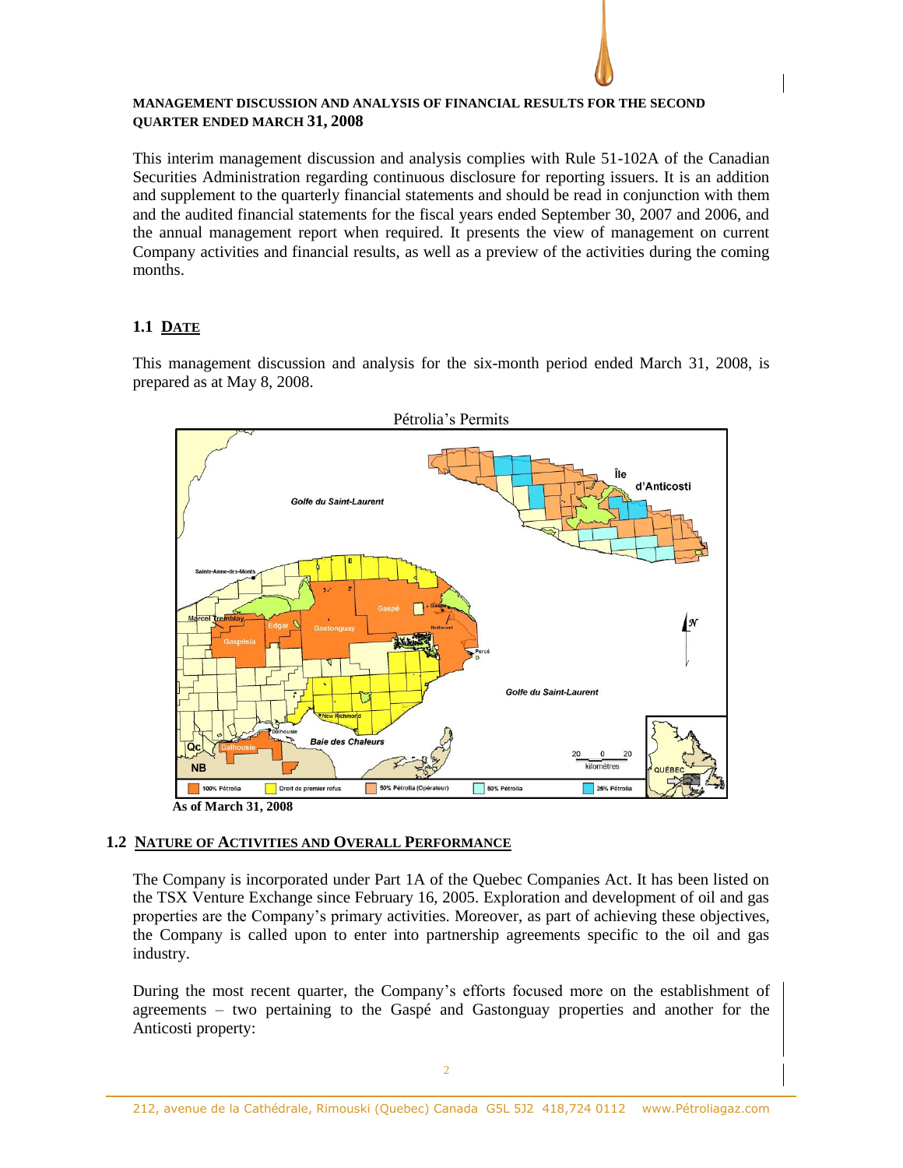## **MANAGEMENT DISCUSSION AND ANALYSIS OF FINANCIAL RESULTS FOR THE SECOND QUARTER ENDED MARCH 31, 2008**

This interim management discussion and analysis complies with Rule 51-102A of the Canadian Securities Administration regarding continuous disclosure for reporting issuers. It is an addition and supplement to the quarterly financial statements and should be read in conjunction with them and the audited financial statements for the fiscal years ended September 30, 2007 and 2006, and the annual management report when required. It presents the view of management on current Company activities and financial results, as well as a preview of the activities during the coming months.

# **1.1 DATE**

This management discussion and analysis for the six-month period ended March 31, 2008, is prepared as at May 8, 2008.



## **1.2 NATURE OF ACTIVITIES AND OVERALL PERFORMANCE**

The Company is incorporated under Part 1A of the Quebec Companies Act. It has been listed on the TSX Venture Exchange since February 16, 2005. Exploration and development of oil and gas properties are the Company's primary activities. Moreover, as part of achieving these objectives, the Company is called upon to enter into partnership agreements specific to the oil and gas industry.

During the most recent quarter, the Company's efforts focused more on the establishment of agreements – two pertaining to the Gaspé and Gastonguay properties and another for the Anticosti property: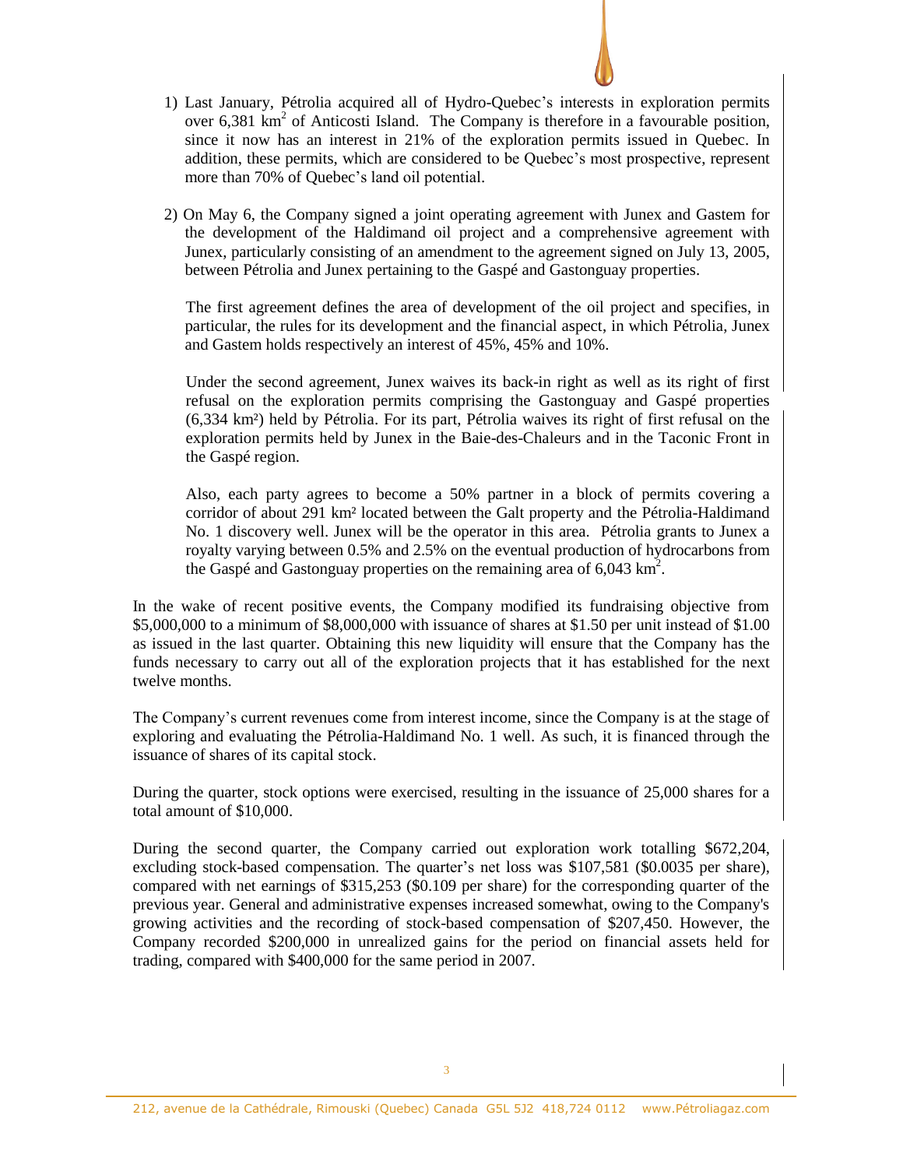- 1) Last January, Pétrolia acquired all of Hydro-Quebec's interests in exploration permits over  $6,381 \text{ km}^2$  of Anticosti Island. The Company is therefore in a favourable position, since it now has an interest in 21% of the exploration permits issued in Quebec. In addition, these permits, which are considered to be Quebec's most prospective, represent more than 70% of Quebec's land oil potential.
- 2) On May 6, the Company signed a joint operating agreement with Junex and Gastem for the development of the Haldimand oil project and a comprehensive agreement with Junex, particularly consisting of an amendment to the agreement signed on July 13, 2005, between Pétrolia and Junex pertaining to the Gaspé and Gastonguay properties.

The first agreement defines the area of development of the oil project and specifies, in particular, the rules for its development and the financial aspect, in which Pétrolia, Junex and Gastem holds respectively an interest of 45%, 45% and 10%.

Under the second agreement, Junex waives its back-in right as well as its right of first refusal on the exploration permits comprising the Gastonguay and Gaspé properties (6,334 km²) held by Pétrolia. For its part, Pétrolia waives its right of first refusal on the exploration permits held by Junex in the Baie-des-Chaleurs and in the Taconic Front in the Gaspé region.

Also, each party agrees to become a 50% partner in a block of permits covering a corridor of about 291 km² located between the Galt property and the Pétrolia-Haldimand No. 1 discovery well. Junex will be the operator in this area. Pétrolia grants to Junex a royalty varying between 0.5% and 2.5% on the eventual production of hydrocarbons from the Gaspé and Gastonguay properties on the remaining area of  $6,043 \text{ km}^2$ .

In the wake of recent positive events, the Company modified its fundraising objective from \$5,000,000 to a minimum of \$8,000,000 with issuance of shares at \$1.50 per unit instead of \$1.00 as issued in the last quarter. Obtaining this new liquidity will ensure that the Company has the funds necessary to carry out all of the exploration projects that it has established for the next twelve months.

The Company's current revenues come from interest income, since the Company is at the stage of exploring and evaluating the Pétrolia-Haldimand No. 1 well. As such, it is financed through the issuance of shares of its capital stock.

During the quarter, stock options were exercised, resulting in the issuance of 25,000 shares for a total amount of \$10,000.

During the second quarter, the Company carried out exploration work totalling \$672,204, excluding stock-based compensation. The quarter's net loss was \$107,581 (\$0.0035 per share), compared with net earnings of \$315,253 (\$0.109 per share) for the corresponding quarter of the previous year. General and administrative expenses increased somewhat, owing to the Company's growing activities and the recording of stock-based compensation of \$207,450. However, the Company recorded \$200,000 in unrealized gains for the period on financial assets held for trading, compared with \$400,000 for the same period in 2007.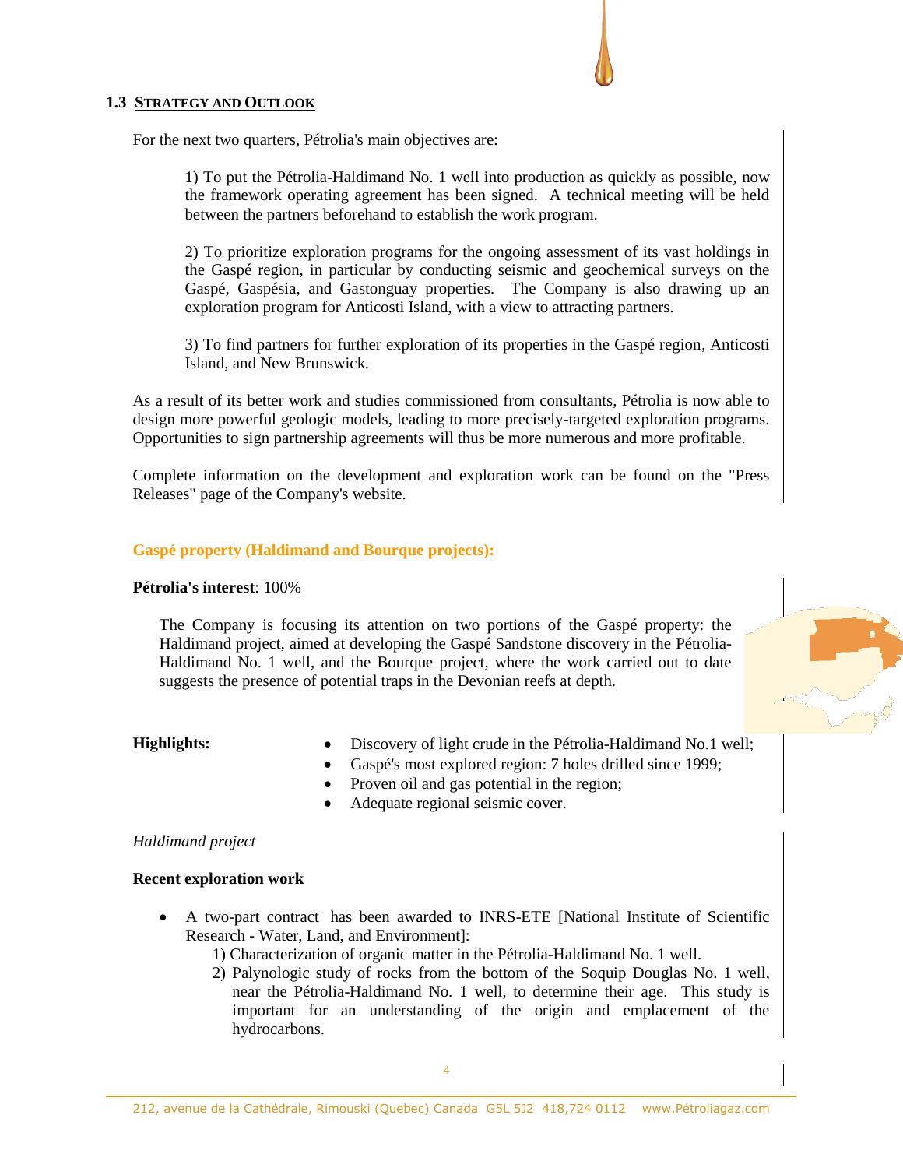## **1.3 STRATEGY AND OUTLOOK**

For the next two quarters, Pétrolia's main objectives are:

1) To put the Pétrolia-Haldimand No. 1 well into production as quickly as possible, now the framework operating agreement has been signed. A technical meeting will be held between the partners beforehand to establish the work program.

2) To prioritize exploration programs for the ongoing assessment of its vast holdings in the Gaspé region, in particular by conducting seismic and geochemical surveys on the Gaspé, Gaspésia, and Gastonguay properties. The Company is also drawing up an exploration program for Anticosti Island, with a view to attracting partners.

3) To find partners for further exploration of its properties in the Gaspé region, Anticosti Island, and New Brunswick.

As a result of its better work and studies commissioned from consultants, Pétrolia is now able to design more powerful geologic models, leading to more precisely-targeted exploration programs. Opportunities to sign partnership agreements will thus be more numerous and more profitable.

Complete information on the development and exploration work can be found on the "Press Releases" page of the Company's website.

## **Gaspé property (Haldimand and Bourque projects):**

## **Pétrolia's interest**: 100%

The Company is focusing its attention on two portions of the Gaspé property: the Haldimand project, aimed at developing the Gaspé Sandstone discovery in the Pétrolia-Haldimand No. 1 well, and the Bourque project, where the work carried out to date suggests the presence of potential traps in the Devonian reefs at depth.

- **Highlights:** Discovery of light crude in the Pétrolia-Haldimand No.1 well;
	- Gaspé's most explored region: 7 holes drilled since 1999;
	- Proven oil and gas potential in the region;
	- Adequate regional seismic cover.

## *Haldimand project*

## **Recent exploration work**

- A two-part contract has been awarded to INRS-ETE [National Institute of Scientific Research - Water, Land, and Environment]:
	- 1) Characterization of organic matter in the Pétrolia-Haldimand No. 1 well.
	- 2) Palynologic study of rocks from the bottom of the Soquip Douglas No. 1 well, near the Pétrolia-Haldimand No. 1 well, to determine their age. This study is important for an understanding of the origin and emplacement of the hydrocarbons.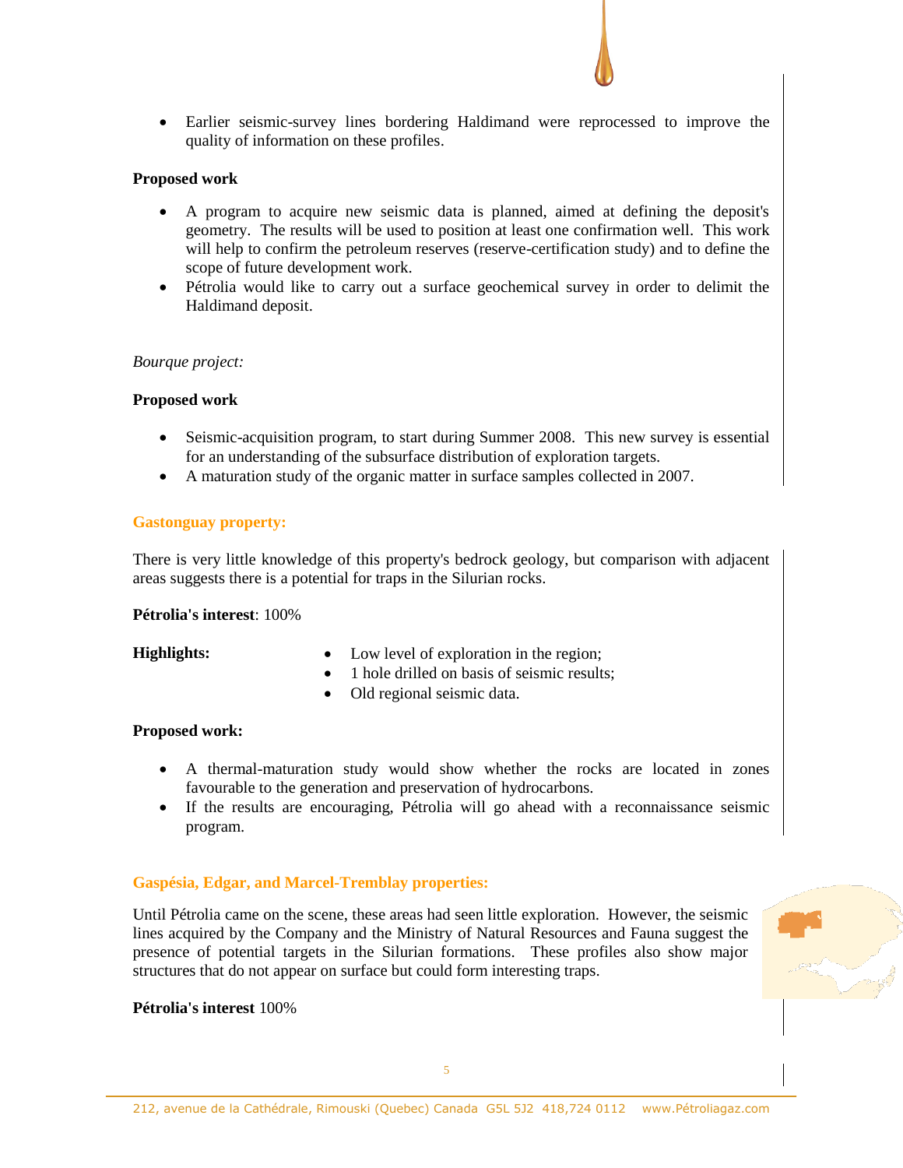Earlier seismic-survey lines bordering Haldimand were reprocessed to improve the quality of information on these profiles.

## **Proposed work**

- A program to acquire new seismic data is planned, aimed at defining the deposit's geometry. The results will be used to position at least one confirmation well. This work will help to confirm the petroleum reserves (reserve-certification study) and to define the scope of future development work.
- Pétrolia would like to carry out a surface geochemical survey in order to delimit the Haldimand deposit.

## *Bourque project:*

## **Proposed work**

- Seismic-acquisition program, to start during Summer 2008. This new survey is essential for an understanding of the subsurface distribution of exploration targets.
- A maturation study of the organic matter in surface samples collected in 2007.

## **Gastonguay property:**

There is very little knowledge of this property's bedrock geology, but comparison with adjacent areas suggests there is a potential for traps in the Silurian rocks.

#### **Pétrolia's interest**: 100%

- **Highlights:**  $\bullet$  Low level of exploration in the region;
	- 1 hole drilled on basis of seismic results;
	- Old regional seismic data.

## **Proposed work:**

- A thermal-maturation study would show whether the rocks are located in zones favourable to the generation and preservation of hydrocarbons.
- If the results are encouraging, Pétrolia will go ahead with a reconnaissance seismic program.

## **Gaspésia, Edgar, and Marcel-Tremblay properties:**

Until Pétrolia came on the scene, these areas had seen little exploration. However, the seismic lines acquired by the Company and the Ministry of Natural Resources and Fauna suggest the presence of potential targets in the Silurian formations. These profiles also show major structures that do not appear on surface but could form interesting traps.

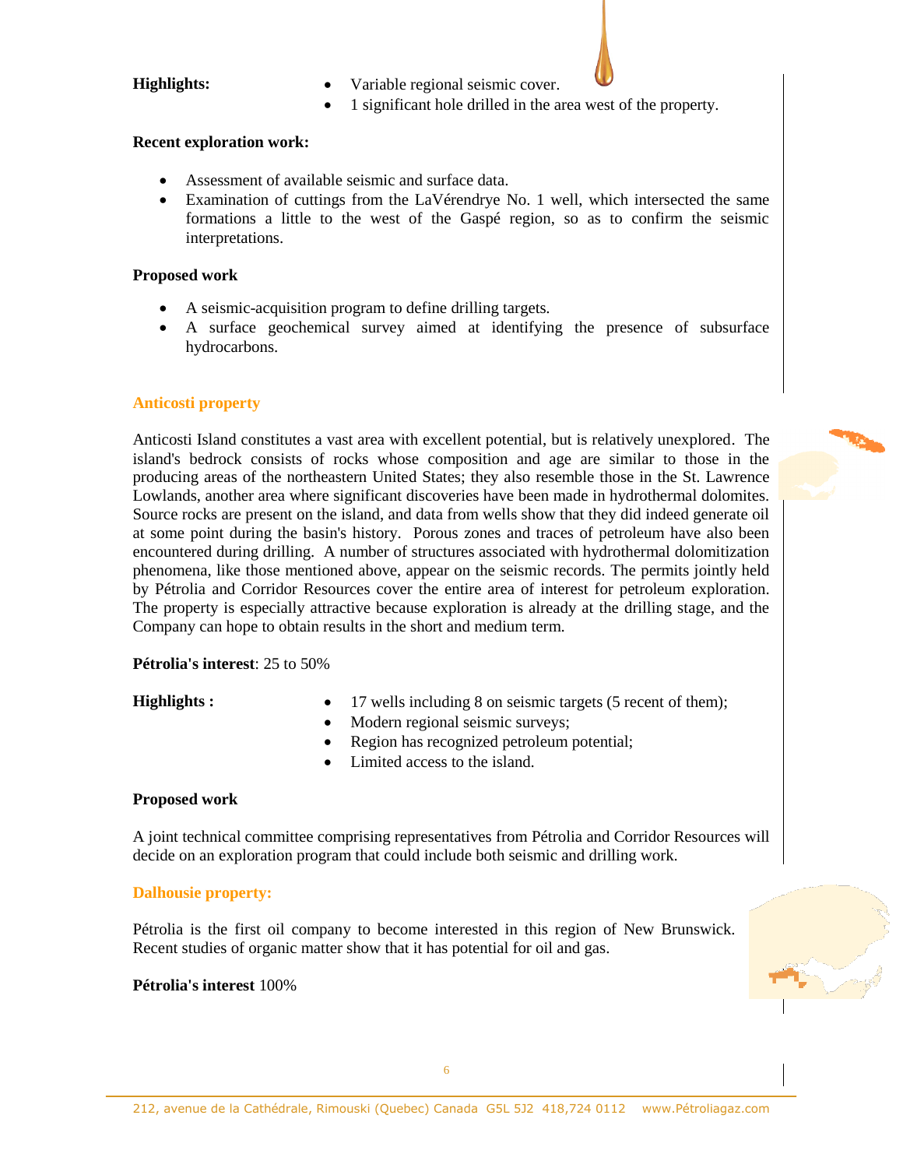- **Highlights:** Variable regional seismic cover.
	- 1 significant hole drilled in the area west of the property.

## **Recent exploration work:**

- Assessment of available seismic and surface data.
- Examination of cuttings from the LaVérendrye No. 1 well, which intersected the same formations a little to the west of the Gaspé region, so as to confirm the seismic interpretations.

## **Proposed work**

- A seismic-acquisition program to define drilling targets.
- A surface geochemical survey aimed at identifying the presence of subsurface hydrocarbons.

## **Anticosti property**

Anticosti Island constitutes a vast area with excellent potential, but is relatively unexplored. The island's bedrock consists of rocks whose composition and age are similar to those in the producing areas of the northeastern United States; they also resemble those in the St. Lawrence Lowlands, another area where significant discoveries have been made in hydrothermal dolomites. Source rocks are present on the island, and data from wells show that they did indeed generate oil at some point during the basin's history. Porous zones and traces of petroleum have also been encountered during drilling. A number of structures associated with hydrothermal dolomitization phenomena, like those mentioned above, appear on the seismic records. The permits jointly held by Pétrolia and Corridor Resources cover the entire area of interest for petroleum exploration. The property is especially attractive because exploration is already at the drilling stage, and the Company can hope to obtain results in the short and medium term.

## **Pétrolia's interest**: 25 to 50%

- **Highlights** :  $\bullet$  17 wells including 8 on seismic targets (5 recent of them);
	- Modern regional seismic surveys;
	- Region has recognized petroleum potential;
	- Limited access to the island.

## **Proposed work**

A joint technical committee comprising representatives from Pétrolia and Corridor Resources will decide on an exploration program that could include both seismic and drilling work.

## **Dalhousie property:**

Pétrolia is the first oil company to become interested in this region of New Brunswick. Recent studies of organic matter show that it has potential for oil and gas.

## **Pétrolia's interest** 100%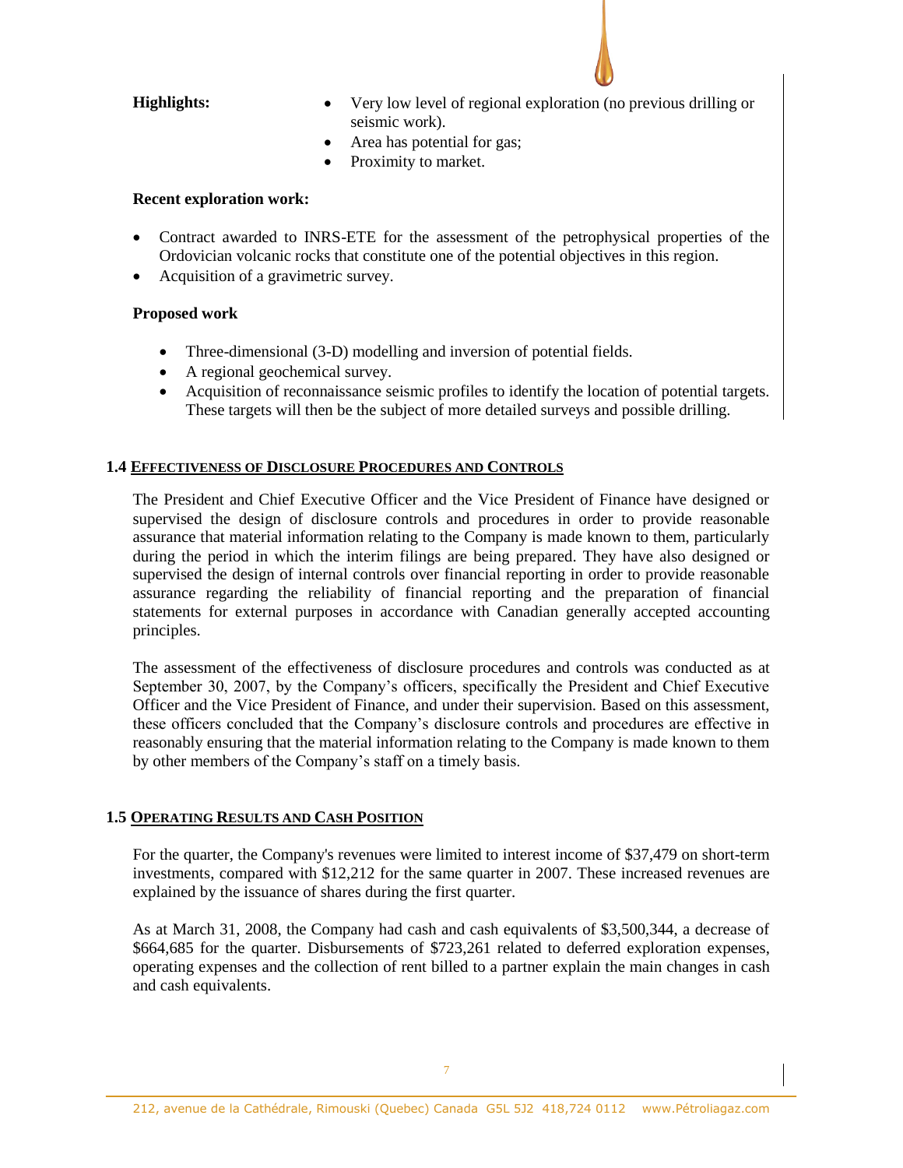- **Highlights:** Very low level of regional exploration (no previous drilling or seismic work).
	- Area has potential for gas;
	- Proximity to market.

## **Recent exploration work:**

- Contract awarded to INRS-ETE for the assessment of the petrophysical properties of the Ordovician volcanic rocks that constitute one of the potential objectives in this region.
- Acquisition of a gravimetric survey.

## **Proposed work**

- Three-dimensional (3-D) modelling and inversion of potential fields.
- A regional geochemical survey.
- Acquisition of reconnaissance seismic profiles to identify the location of potential targets. These targets will then be the subject of more detailed surveys and possible drilling.

# **1.4 EFFECTIVENESS OF DISCLOSURE PROCEDURES AND CONTROLS**

The President and Chief Executive Officer and the Vice President of Finance have designed or supervised the design of disclosure controls and procedures in order to provide reasonable assurance that material information relating to the Company is made known to them, particularly during the period in which the interim filings are being prepared. They have also designed or supervised the design of internal controls over financial reporting in order to provide reasonable assurance regarding the reliability of financial reporting and the preparation of financial statements for external purposes in accordance with Canadian generally accepted accounting principles.

The assessment of the effectiveness of disclosure procedures and controls was conducted as at September 30, 2007, by the Company's officers, specifically the President and Chief Executive Officer and the Vice President of Finance, and under their supervision. Based on this assessment, these officers concluded that the Company's disclosure controls and procedures are effective in reasonably ensuring that the material information relating to the Company is made known to them by other members of the Company's staff on a timely basis.

## **1.5 OPERATING RESULTS AND CASH POSITION**

For the quarter, the Company's revenues were limited to interest income of \$37,479 on short-term investments, compared with \$12,212 for the same quarter in 2007. These increased revenues are explained by the issuance of shares during the first quarter.

As at March 31, 2008, the Company had cash and cash equivalents of \$3,500,344, a decrease of \$664,685 for the quarter. Disbursements of \$723,261 related to deferred exploration expenses, operating expenses and the collection of rent billed to a partner explain the main changes in cash and cash equivalents.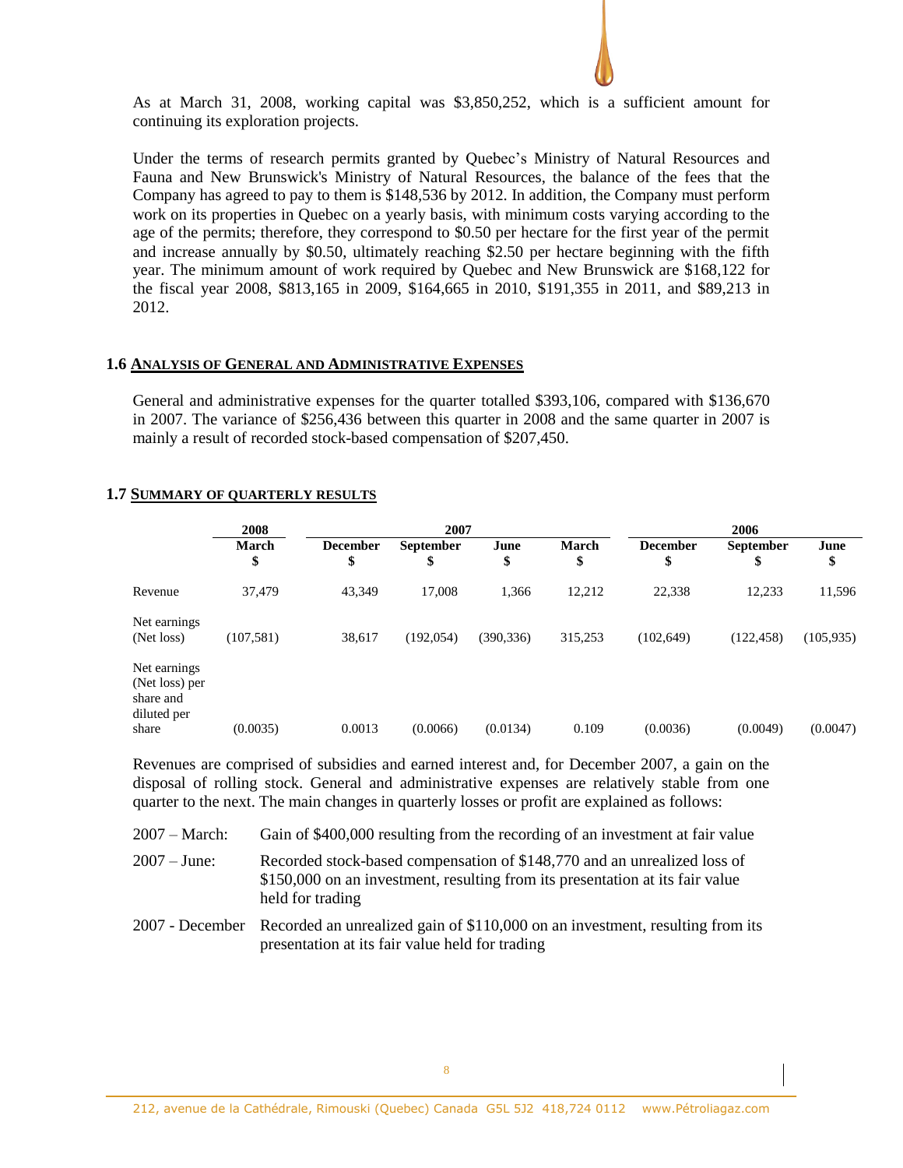

As at March 31, 2008, working capital was \$3,850,252, which is a sufficient amount for continuing its exploration projects.

Under the terms of research permits granted by Quebec's Ministry of Natural Resources and Fauna and New Brunswick's Ministry of Natural Resources, the balance of the fees that the Company has agreed to pay to them is \$148,536 by 2012. In addition, the Company must perform work on its properties in Quebec on a yearly basis, with minimum costs varying according to the age of the permits; therefore, they correspond to \$0.50 per hectare for the first year of the permit and increase annually by \$0.50, ultimately reaching \$2.50 per hectare beginning with the fifth year. The minimum amount of work required by Quebec and New Brunswick are \$168,122 for the fiscal year 2008, \$813,165 in 2009, \$164,665 in 2010, \$191,355 in 2011, and \$89,213 in 2012.

## **1.6 ANALYSIS OF GENERAL AND ADMINISTRATIVE EXPENSES**

General and administrative expenses for the quarter totalled \$393,106, compared with \$136,670 in 2007. The variance of \$256,436 between this quarter in 2008 and the same quarter in 2007 is mainly a result of recorded stock-based compensation of \$207,450.

## **1.7 SUMMARY OF QUARTERLY RESULTS**

| 2008               |                       | 2007                   |            |                    | 2006                  |                        |            |
|--------------------|-----------------------|------------------------|------------|--------------------|-----------------------|------------------------|------------|
| <b>March</b><br>\$ | <b>December</b><br>\$ | <b>September</b><br>\$ | June<br>\$ | <b>March</b><br>\$ | <b>December</b><br>\$ | <b>September</b><br>\$ | June<br>\$ |
| 37,479             | 43,349                | 17,008                 | 1,366      | 12,212             | 22,338                | 12,233                 | 11,596     |
| (107, 581)         | 38,617                | (192, 054)             | (390, 336) | 315,253            | (102, 649)            | (122, 458)             | (105, 935) |
|                    |                       |                        |            |                    |                       |                        | (0.0047)   |
|                    | (0.0035)              | 0.0013                 | (0.0066)   | (0.0134)           | 0.109                 | (0.0036)               | (0.0049)   |

Revenues are comprised of subsidies and earned interest and, for December 2007, a gain on the disposal of rolling stock. General and administrative expenses are relatively stable from one quarter to the next. The main changes in quarterly losses or profit are explained as follows:

| $2007 - March:$ | Gain of \$400,000 resulting from the recording of an investment at fair value                                                                                                 |
|-----------------|-------------------------------------------------------------------------------------------------------------------------------------------------------------------------------|
| $2007 - June:$  | Recorded stock-based compensation of \$148,770 and an unrealized loss of<br>\$150,000 on an investment, resulting from its presentation at its fair value<br>held for trading |
|                 | 2007 - December Recorded an unrealized gain of \$110,000 on an investment, resulting from its                                                                                 |

presentation at its fair value held for trading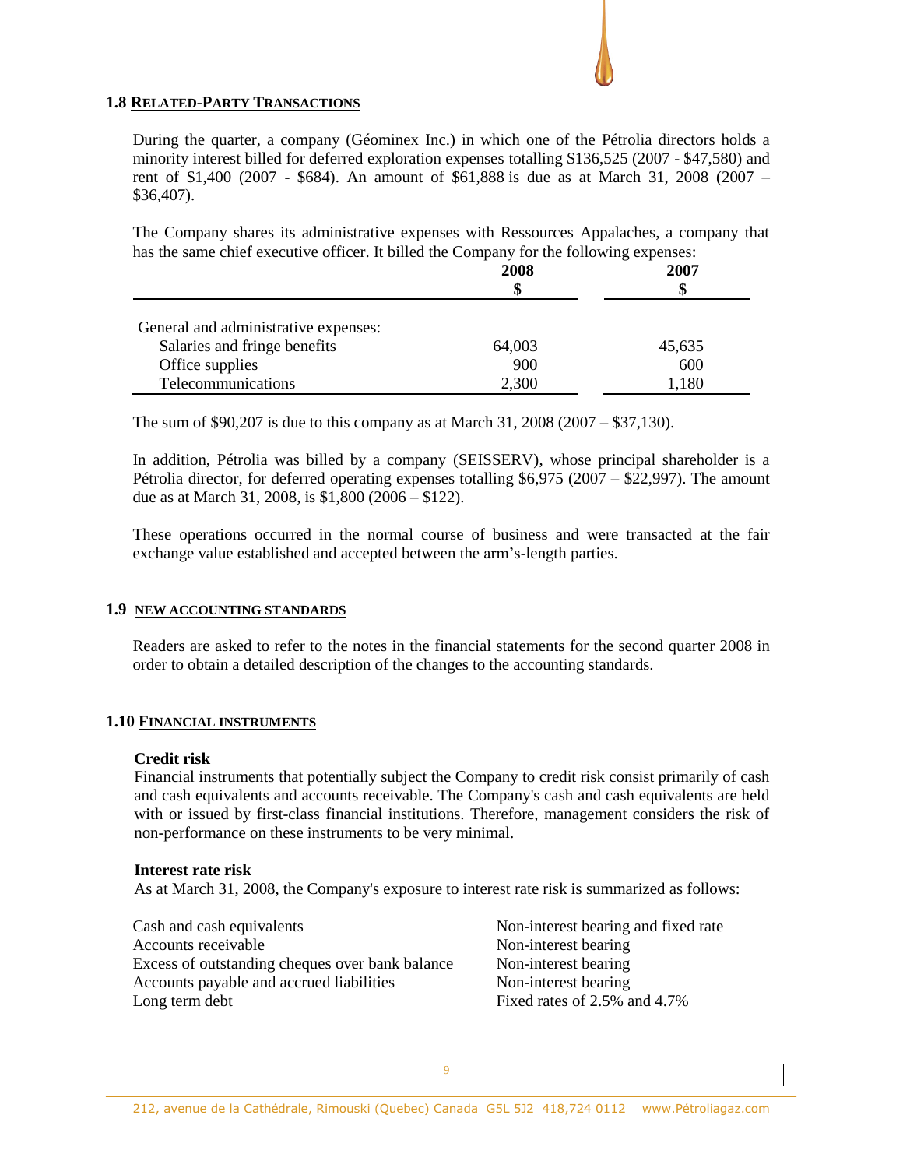## **1.8 RELATED-PARTY TRANSACTIONS**

During the quarter, a company (Géominex Inc.) in which one of the Pétrolia directors holds a minority interest billed for deferred exploration expenses totalling \$136,525 (2007 - \$47,580) and rent of \$1,400 (2007 - \$684). An amount of \$61,888 is due as at March 31, 2008 (2007 – \$36,407).

The Company shares its administrative expenses with Ressources Appalaches, a company that has the same chief executive officer. It billed the Company for the following expenses:

|                                      | 2008<br>\$ | 2007<br>S |
|--------------------------------------|------------|-----------|
| General and administrative expenses: |            |           |
| Salaries and fringe benefits         | 64,003     | 45,635    |
| Office supplies                      | 900        | 600       |
| Telecommunications                   | 2,300      | 1,180     |

The sum of \$90,207 is due to this company as at March 31, 2008 (2007 – \$37,130).

In addition, Pétrolia was billed by a company (SEISSERV), whose principal shareholder is a Pétrolia director, for deferred operating expenses totalling \$6,975 (2007 – \$22,997). The amount due as at March 31, 2008, is \$1,800 (2006 – \$122).

These operations occurred in the normal course of business and were transacted at the fair exchange value established and accepted between the arm's-length parties.

## **1.9 NEW ACCOUNTING STANDARDS**

Readers are asked to refer to the notes in the financial statements for the second quarter 2008 in order to obtain a detailed description of the changes to the accounting standards.

## **1.10 FINANCIAL INSTRUMENTS**

#### **Credit risk**

Financial instruments that potentially subject the Company to credit risk consist primarily of cash and cash equivalents and accounts receivable. The Company's cash and cash equivalents are held with or issued by first-class financial institutions. Therefore, management considers the risk of non-performance on these instruments to be very minimal.

#### **Interest rate risk**

As at March 31, 2008, the Company's exposure to interest rate risk is summarized as follows:

Cash and cash equivalents Non-interest bearing and fixed rate Accounts receivable Non-interest bearing Excess of outstanding cheques over bank balance Non-interest bearing Accounts payable and accrued liabilities Non-interest bearing Long term debt Fixed rates of 2.5% and 4.7%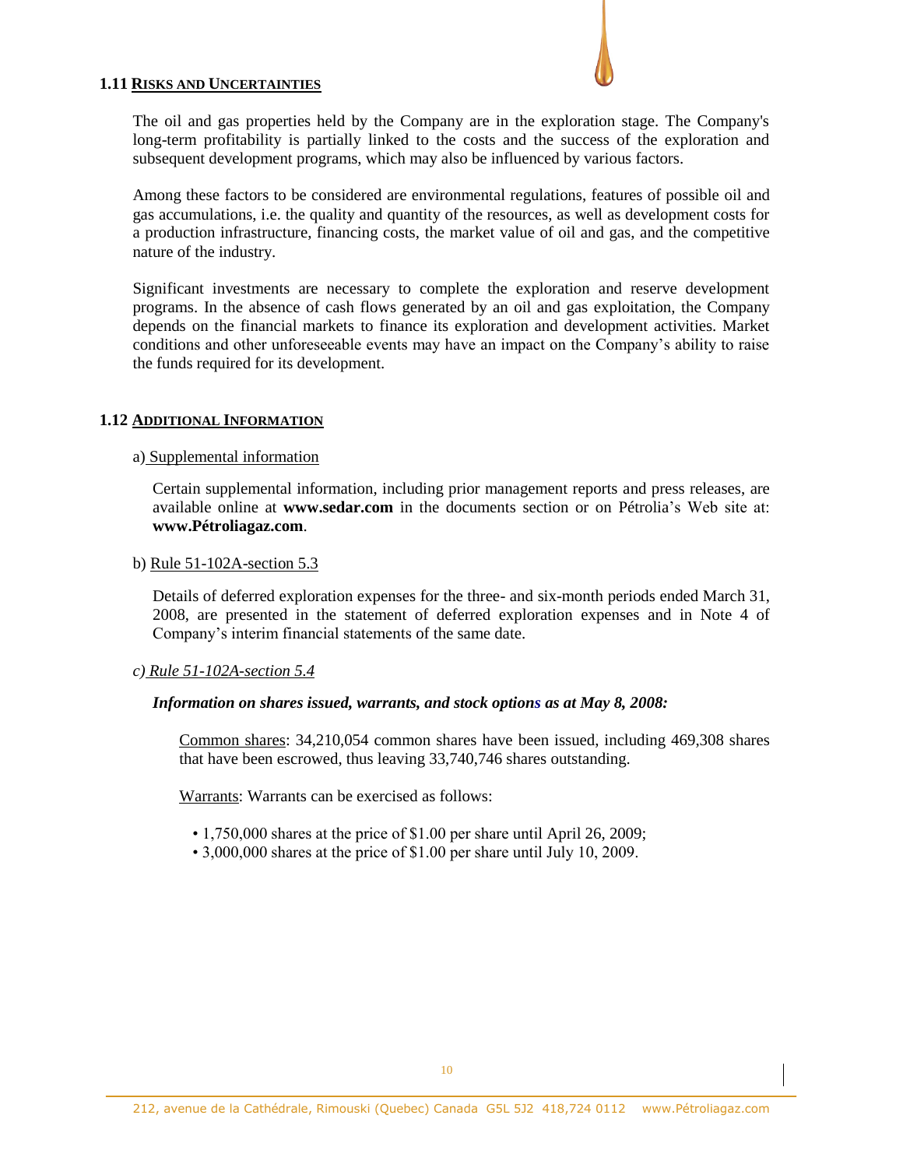## **1.11 RISKS AND UNCERTAINTIES**

The oil and gas properties held by the Company are in the exploration stage. The Company's long-term profitability is partially linked to the costs and the success of the exploration and subsequent development programs, which may also be influenced by various factors.

Among these factors to be considered are environmental regulations, features of possible oil and gas accumulations, i.e. the quality and quantity of the resources, as well as development costs for a production infrastructure, financing costs, the market value of oil and gas, and the competitive nature of the industry.

Significant investments are necessary to complete the exploration and reserve development programs. In the absence of cash flows generated by an oil and gas exploitation, the Company depends on the financial markets to finance its exploration and development activities. Market conditions and other unforeseeable events may have an impact on the Company's ability to raise the funds required for its development.

## **1.12 ADDITIONAL INFORMATION**

## a) Supplemental information

Certain supplemental information, including prior management reports and press releases, are available online at **www.sedar.com** in the documents section or on Pétrolia's Web site at: **www.Pétroliagaz.com**.

## b) Rule 51-102A-section 5.3

Details of deferred exploration expenses for the three- and six-month periods ended March 31, 2008, are presented in the statement of deferred exploration expenses and in Note 4 of Company's interim financial statements of the same date.

## *c) Rule 51-102A-section 5.4*

## *Information on shares issued, warrants, and stock options as at May 8, 2008:*

Common shares: 34,210,054 common shares have been issued, including 469,308 shares that have been escrowed, thus leaving 33,740,746 shares outstanding.

Warrants: Warrants can be exercised as follows:

- 1,750,000 shares at the price of \$1.00 per share until April 26, 2009;
- 3,000,000 shares at the price of \$1.00 per share until July 10, 2009.